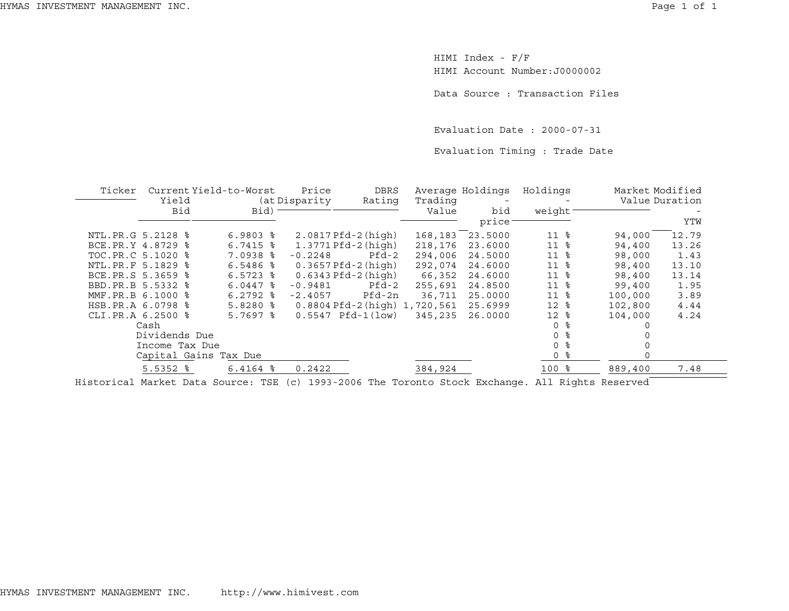HIMI Index - F/F HIMI Account Number:J0000002

Data Source : Transaction Files

Evaluation Date : 2000-07-31

Evaluation Timing : Trade Date

| Ticker              | Current Yield-to-Worst<br>Yield |                        | Price<br>DBRS<br>Rating<br>(at Disparity |                                   | Average Holdings<br>Trading<br>Value |              | Holdings            |         | Market Modified<br>Value Duration |  |
|---------------------|---------------------------------|------------------------|------------------------------------------|-----------------------------------|--------------------------------------|--------------|---------------------|---------|-----------------------------------|--|
|                     | Bid                             | Bid)                   |                                          |                                   |                                      | bid<br>price | weight              |         | YTW                               |  |
| NTL. PR. G 5.2128 % |                                 | $6.9803$ $%$           |                                          | $2.0817Pfd-2(high)$               | 168,183                              | 23.5000      | 11 <sub>8</sub>     | 94,000  | 12.79                             |  |
| BCE.PR.Y 4.8729 %   |                                 | $6.7415$ %             |                                          | $1.3771$ $Pfd-2$ $(hich)$         | 218,176                              | 23.6000      | 11 <sub>8</sub>     | 94,400  | 13.26                             |  |
| TOC.PR.C 5.1020 %   |                                 | $7.0938$ %             | $-0.2248$                                | Pfd-2                             | 294,006                              | 24.5000      | 11 <sub>8</sub>     | 98,000  | 1.43                              |  |
| NTL. PR. F 5.1829 % |                                 | $6.5486$ %             |                                          | $0.3657Pfd-2(high)$               | 292,074                              | 24.6000      | 11<br>ႜ             | 98,400  | 13.10                             |  |
| BCE.PR.S 5.3659 %   |                                 | $6.5723$ $\frac{6}{5}$ |                                          | $0.6343$ Pfd-2 (high)             | 66,352                               | 24.6000      | 11 <sub>8</sub>     | 98,400  | 13.14                             |  |
| BBD.PR.B 5.5332 %   |                                 | $6.0447$ $\frac{8}{3}$ | $-0.9481$                                | Pfd-2                             | 255,691                              | 24.8500      | 11 <sup>8</sup>     | 99,400  | 1.95                              |  |
| MMF.PR.B 6.1000 %   |                                 | $6.2792$ $\frac{6}{3}$ | $-2.4057$                                | Pfd-2n                            | 36,711                               | 25.0000      | 11 <sup>8</sup>     | 100,000 | 3.89                              |  |
| HSB.PR.A 6.0798 %   |                                 | $5.8280$ %             |                                          | $0.8804$ Pfd-2 (high) $1,720,561$ |                                      | 25.6999      | $12*$               | 102,800 | 4.44                              |  |
| CLI.PR.A 6.2500 %   |                                 | $5.7697$ $\frac{8}{3}$ | 0.5547                                   | $Pfd-1(low)$                      | 345,235                              | 26.0000      | $12*$               | 104,000 | 4.24                              |  |
|                     | Cash                            |                        |                                          |                                   |                                      |              | ిన<br>0             |         |                                   |  |
|                     | Dividends Due                   |                        |                                          |                                   |                                      |              | ႜႂ<br>$\Omega$      |         |                                   |  |
|                     | Income Tax Due                  |                        |                                          |                                   |                                      |              | ႜ<br>$\Omega$       |         |                                   |  |
|                     | Capital Gains Tax Due           |                        |                                          |                                   |                                      |              | 0 <sup>8</sup>      | 0       |                                   |  |
|                     | $5.5352$ $\frac{6}{5}$          | $6.4164$ $8$           | 0.2422                                   |                                   | 384,924                              |              | $100$ $\frac{6}{5}$ | 889,400 | 7.48                              |  |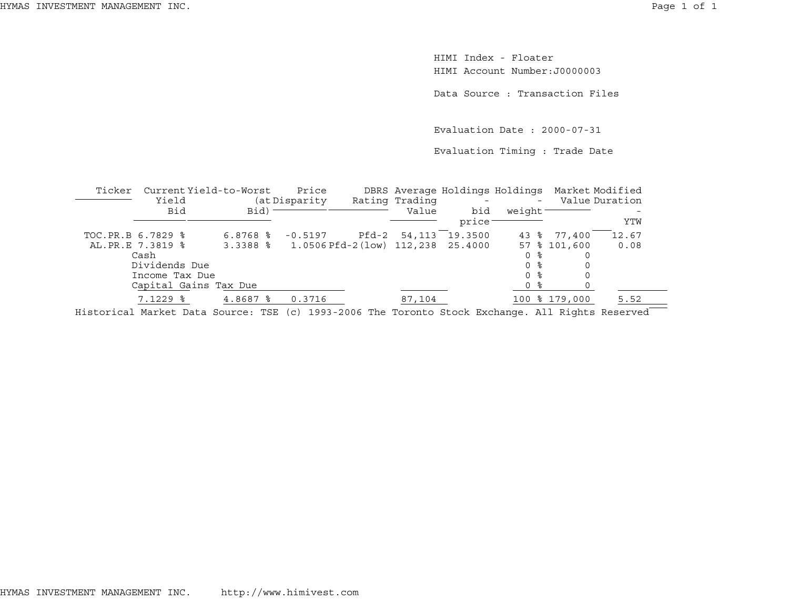HIMI Index - FloaterHIMI Account Number:J0000003

Data Source : Transaction Files

Evaluation Date : 2000-07-31

Evaluation Timing : Trade Date

| Ticker | Current Yield-to-Worst                                                                                 |                        | Price                                       |       |                | DBRS Average Holdings Holdings Market Modified |         |               |                |
|--------|--------------------------------------------------------------------------------------------------------|------------------------|---------------------------------------------|-------|----------------|------------------------------------------------|---------|---------------|----------------|
|        | Yield                                                                                                  |                        | (at Disparity                               |       | Rating Trading |                                                | $-$     |               | Value Duration |
|        | Bid                                                                                                    | $Bid$ ) –              |                                             |       | Value          | bid                                            | weight- |               |                |
|        |                                                                                                        |                        |                                             |       |                | price <sup>-</sup>                             |         |               | YTW            |
|        | TOC.PR.B 6.7829 %                                                                                      | $6.8768$ $\frac{6}{3}$ | $-0.5197$                                   | Pfd-2 | 54,113         | 19.3500                                        |         | 43 % 77,400   | 12.67          |
|        | AL.PR.E 7.3819 %                                                                                       |                        | 3.3388 % 1.0506 Pfd-2 (low) 112,238 25.4000 |       |                |                                                |         | 57 % 101,600  | 0.08           |
|        | Cash                                                                                                   |                        |                                             |       |                |                                                | 0 %     |               |                |
|        | Dividends Due                                                                                          |                        |                                             |       |                |                                                | 0 %     |               |                |
|        | Income Tax Due                                                                                         |                        |                                             |       |                |                                                | 0 %     |               |                |
|        | Capital Gains Tax Due                                                                                  |                        |                                             |       |                |                                                | 0 %     |               |                |
|        | $7.1229$ $\frac{6}{5}$                                                                                 | $4.8687$ $\frac{6}{3}$ | 0.3716                                      |       | 87,104         |                                                |         | 100 % 179,000 | 5.52           |
|        | Historiael Mordest Dete Gourese, MGB (e) 1000 0000 Mbs Morgante Gtoel, Brahomes, 311 Disbts Descripted |                        |                                             |       |                |                                                |         |               |                |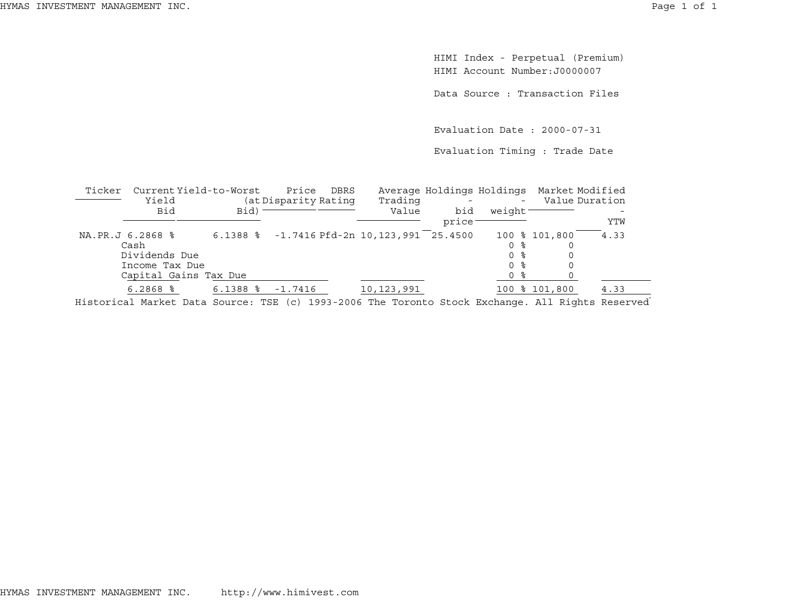HIMI Index - Perpetual (Premium) HIMI Account Number:J0000007

Data Source : Transaction Files

Evaluation Date : 2000-07-31

Evaluation Timing : Trade Date

| Ticker | Current Yield-to-Worst<br>Yield                                                                     |            | Price<br>(at Disparity Rating | DBRS | Trading                                    |              |         | Average Holdings Holdings Market Modified<br>Value Duration |      |
|--------|-----------------------------------------------------------------------------------------------------|------------|-------------------------------|------|--------------------------------------------|--------------|---------|-------------------------------------------------------------|------|
|        | Bid                                                                                                 | Bid)       |                               |      | Value                                      | bid<br>price | weight- |                                                             | YTW  |
|        | NA.PR.J 6.2868 %                                                                                    |            |                               |      | 6.1388 % -1.7416 Pfd-2n 10,123,991 25.4500 |              |         | 100 % 101,800                                               | 4.33 |
|        | Cash                                                                                                |            |                               |      |                                            |              | 0 %     |                                                             |      |
|        | Dividends Due                                                                                       |            |                               |      |                                            |              | 0 %     |                                                             |      |
|        | Income Tax Due                                                                                      |            |                               |      |                                            |              | 0 %     |                                                             |      |
|        | Capital Gains Tax Due                                                                               |            |                               |      |                                            |              | 0 %     |                                                             |      |
|        | $6.2868$ %                                                                                          | $6.1388$ % | $-1.7416$                     |      | 10,123,991                                 |              |         | 100 % 101,800                                               | 4.33 |
|        | Highers'sel Merchat Dete Geimes (MOD (s) 1000 000C The Herophe Great Busheres (311 Dischry Deserved |            |                               |      |                                            |              |         |                                                             |      |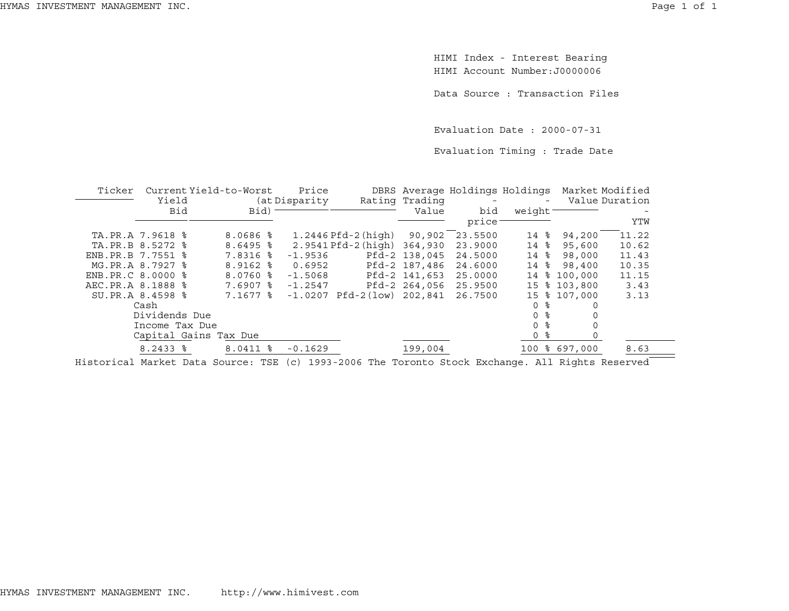HIMI Index - Interest Bearing HIMI Account Number:J0000006

Data Source : Transaction Files

Evaluation Date : 2000-07-31

Evaluation Timing : Trade Date

| Ticker              |                        | Current Yield-to-Worst | Price          |                                          |               | DBRS Average Holdings Holdings Market Modified |                |                  |       |
|---------------------|------------------------|------------------------|----------------|------------------------------------------|---------------|------------------------------------------------|----------------|------------------|-------|
|                     | Yield                  |                        | (at Disparity) | Rating Trading                           |               | $\sim$ $ -$                                    |                | - Value Duration |       |
|                     | Bid                    | Bid)                   |                |                                          | Value         | bid                                            | weight         |                  |       |
|                     |                        |                        |                |                                          |               | price <sup>-</sup>                             |                |                  | YTW   |
| TA.PR.A 7.9618 %    |                        | 8.0686 %               |                | 1.2446 Pfd-2 (high)                      | 90,902        | 23.5500                                        | 14 %           | 94,200           | 11.22 |
| TA.PR.B 8.5272 %    |                        | $8.6495$ %             |                | 2.9541 Pfd-2 (high) 364,930              |               | 23,9000                                        | 14 %           | 95,600           | 10.62 |
| ENB. PR. B 7.7551 % |                        | 7.8316 %               | $-1.9536$      |                                          | Pfd-2 138,045 | 24.5000                                        | 14 %           | 98,000           | 11.43 |
| MG.PR.A 8.7927 %    |                        | 8.9162 %               | 0.6952         |                                          | Pfd-2 187,486 | 24.6000                                        | 14 %           | 98,400           | 10.35 |
| ENB.PR.C 8.0000 %   |                        | $8.0760$ %             | $-1.5068$      |                                          | Pfd-2 141,653 | 25.0000                                        |                | 14 % 100,000     | 11.15 |
| AEC.PR.A 8.1888 %   |                        | 7.6907 %               | $-1.2547$      |                                          |               | Pfd-2 264,056 25.9500                          |                | 15 % 103,800     | 3.43  |
|                     | SU.PR.A 8.4598 %       | 7.1677 %               |                | $-1.0207$ Pfd $-2$ (low) 202,841 26.7500 |               |                                                |                | 15 % 107,000     | 3.13  |
|                     | Cash                   |                        |                |                                          |               |                                                | 0 %            |                  |       |
|                     | Dividends Due          |                        |                |                                          |               |                                                | 0 <sup>8</sup> |                  |       |
|                     | Income Tax Due         |                        |                |                                          |               |                                                | 0 <sup>8</sup> |                  |       |
|                     |                        | Capital Gains Tax Due  |                |                                          |               |                                                | 0 %            |                  |       |
|                     | $8.2433$ $\frac{8}{3}$ | $8.0411$ $\frac{8}{3}$ | $-0.1629$      |                                          | 199,004       |                                                |                | 100 % 697,000    | 8.63  |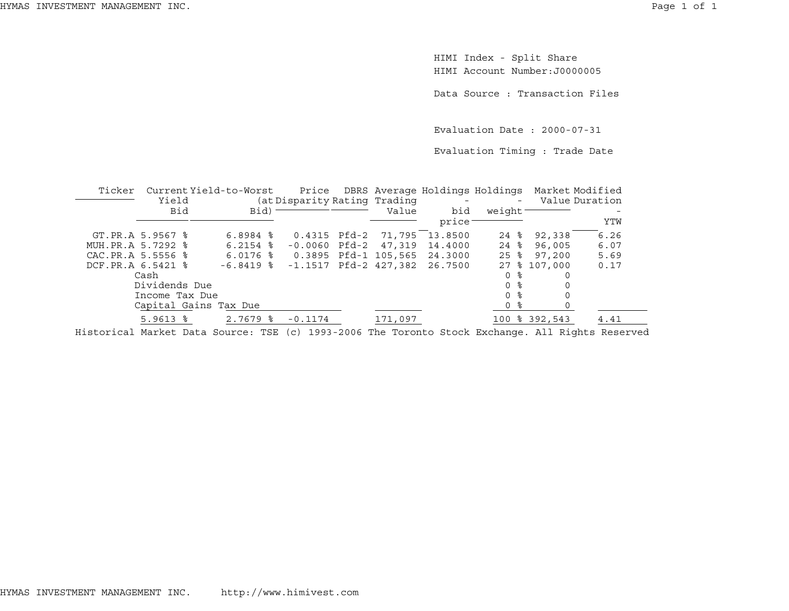HIMI Index - Split Share HIMI Account Number:J0000005

Data Source : Transaction Files

Evaluation Date : 2000-07-31

Evaluation Timing : Trade Date

| Ticker | Yield              | Current Yield-to-Worst |                              |                           | Price DBRS Average Holdings Holdings<br><b>Contract Contract</b> |                     |               | Market Modified<br>Value Duration |
|--------|--------------------|------------------------|------------------------------|---------------------------|------------------------------------------------------------------|---------------------|---------------|-----------------------------------|
|        |                    |                        | (at Disparity Rating Trading |                           |                                                                  |                     |               |                                   |
|        | Bid                | $Bid$ ) -              |                              | Value                     | bid                                                              | weight <sup>-</sup> |               |                                   |
|        |                    |                        |                              |                           | price:                                                           |                     |               | YTW                               |
|        | GT.PR.A 5.9567 %   | $6.8984$ $\frac{8}{3}$ | 0.4315 Pfd-2                 |                           | 71,795 13.8500                                                   | 24 %                | 92,338        | 6.26                              |
|        | MUH. PR.A 5.7292 % | $6.2154$ $\frac{6}{3}$ |                              | $-0.0060$ Pfd $-2$ 47,319 | 14,4000                                                          | $24$ %              | 96,005        | 6.07                              |
|        | CAC.PR.A 5.5556 %  | $6.0176$ %             |                              | 0.3895 Pfd-1 105,565      | 24.3000                                                          | $25$ $\frac{6}{5}$  | 97,200        | 5.69                              |
|        | DCF.PR.A 6.5421 %  | $-6.8419$ %            |                              |                           | $-1.1517$ Pfd-2 427,382 26.7500                                  |                     | 27 % 107,000  | 0.17                              |
|        | Cash               |                        |                              |                           |                                                                  | 0 %                 |               |                                   |
|        | Dividends Due      |                        |                              |                           |                                                                  | 0 ፦                 |               |                                   |
|        | Income Tax Due     |                        |                              |                           |                                                                  | 0 %                 |               |                                   |
|        |                    | Capital Gains Tax Due  |                              |                           |                                                                  | 0 %                 |               |                                   |
|        | $5.9613$ $%$       | $2.7679$ $\frac{6}{5}$ | $-0.1174$                    | 171,097                   |                                                                  |                     | 100 % 392,543 | 4.41                              |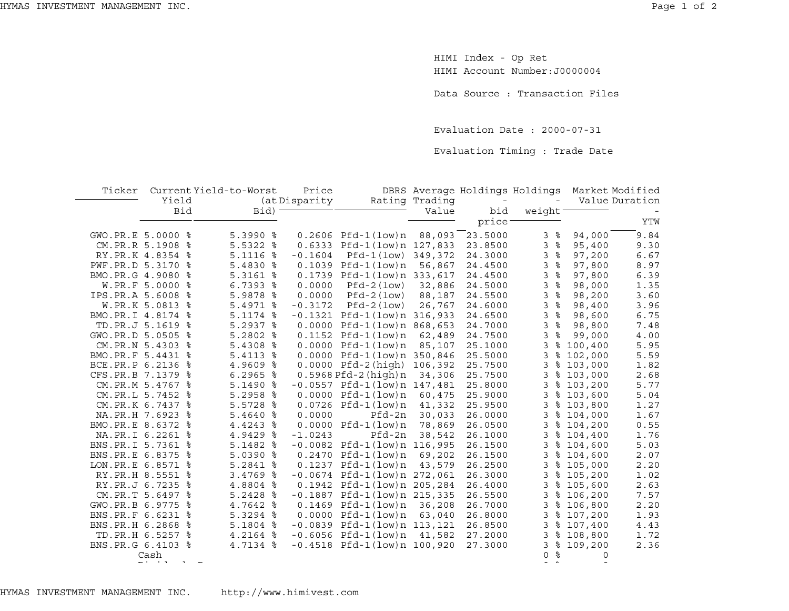HIMI Index - Op Ret HIMI Account Number:J0000004

Data Source : Transaction Files

Evaluation Date : 2000-07-31

Evaluation Timing : Trade Date

| Ticker              | Yield            | Current Yield-to-Worst | Price         |                                   | Rating Trading | DBRS Average Holdings Holdings |               |            | Market Modified<br>Value Duration |
|---------------------|------------------|------------------------|---------------|-----------------------------------|----------------|--------------------------------|---------------|------------|-----------------------------------|
|                     |                  |                        | (at Disparity |                                   |                |                                |               |            |                                   |
|                     | Bid              | $Bid$ ) -              |               |                                   | Value          | bid                            | weight-       |            |                                   |
|                     |                  |                        |               |                                   |                | price <sup>-</sup>             |               |            | YTW                               |
| GWO.PR.E 5.0000 %   |                  | $5.3990$ $8$           |               | $0.2606$ Pfd-1 $(low)n$           | 88,093         | 23.5000                        | နွ<br>3       | 94,000     | 9.84                              |
|                     | CM.PR.R 5.1908 % | $5.5322$ $%$           | 0.6333        | Pfd-1(low)n 127,833               |                | 23.8500                        | 3<br>ಿ        | 95,400     | 9.30                              |
|                     | RY.PR.K 4.8354 % | 5.1116<br>ႜ            | $-0.1604$     | $Pfd-1(low)$                      | 349,372        | 24.3000                        | 3<br>နွ       | 97,200     | 6.67                              |
| PWF.PR.D 5.3170 %   |                  | 5.4830 %               |               | $0.1039$ Pfd-1(low)n              | 56,867         | 24.4500                        | $\,$ %<br>3   | 97,800     | 8.97                              |
| BMO.PR.G 4.9080 %   |                  | $5.3161$ %             |               | 0.1739 Pfd-1(low)n 333,617        |                | 24.4500                        | 3<br>$\,$ %   | 97,800     | 6.39                              |
|                     | W.PR.F 5.0000 %  | 6.7393<br>နွ           | 0.0000        | $Pfd-2(1ow)$                      | 32,886         | 24.5000                        | ಕಿ<br>3       | 98,000     | 1.35                              |
| IPS.PR.A 5.6008     | ႜ                | 5.9878<br>ႜ            | 0.0000        | $Pfd-2 (low)$                     | 88,187         | 24.5500                        | 3<br>$\%$     | 98,200     | 3.60                              |
|                     | W.PR.K 5.0813 %  | 5.4971<br>ႜ            | $-0.3172$     | $Pfd-2 (low)$                     | 26,767         | 24.6000                        | $\,$ %<br>3   | 98,400     | 3.96                              |
| BMO.PR.I 4.8174 %   |                  | 5.1174 %               | $-0.1321$     | Pfd-1(low)n 316,933               |                | 24.6500                        | 3<br>နွ       | 98,600     | 6.75                              |
|                     | TD.PR.J 5.1619 % | $5.2937$ $8$           | 0.0000        | Pfd-1(low)n 868,653               |                | 24.7000                        | 3<br>ಿ        | 98,800     | 7.48                              |
| GWO.PR.D 5.0505 %   |                  | 5.2802<br>ႜ            |               | $0.1152$ Pfd-1 $(low)$ n          | 62,489         | 24.7500                        | 3<br>ႜ        | 99,000     | 4.00                              |
|                     | CM.PR.N 5.4303 % | $5.4308$ %             |               | $0.0000$ Pfd-1 $(low)$ n          | 85,107         | 25.1000                        | 3             | \$100,400  | 5.95                              |
| BMO.PR.F 5.4431 %   |                  | 5.4113 %               |               | 0.0000 Pfd-1(low)n 350,846        |                | 25.5000                        | 3             | \$102,000  | 5.59                              |
| BCE.PR.P 6.2136     | ႜ                | 4.9609 %               |               | $0.0000$ Pfd-2 $(hiqh)$           | 106,392        | 25.7500                        | 3             | \$103,000  | 1.82                              |
| CFS.PR.B 7.1379     | ႜ                | $6.2965$ %             |               | $0.5968Pfd-2(hiqh)n$              | 34,306         | 25.7500                        | 3             | \$103,000  | 2.68                              |
|                     | CM.PR.M 5.4767 % | $5.1490$ %             |               | $-0.0557$ Pfd $-1$ (low)n 147,481 |                | 25.8000                        | 3             | \$103,200  | 5.77                              |
| CM.PR.L 5.7452      | ႜ                | $5.2958$ $%$           |               | $0.0000$ Pfd-1 $(low)$ n          | 60,475         | 25.9000                        | 3             | \$103,600  | 5.04                              |
|                     | CM.PR.K 6.7437 % | ႜ<br>5.5728            |               | $0.0726$ Pfd-1 $(low)n$           | 41,332         | 25.9500                        | 3             | \$103,800  | 1.27                              |
| NA.PR.H 7.6923      | ႜ                | $5.4640$ %             | 0.0000        | Pfd-2n                            | 30,033         | 26.0000                        | 3             | \$104,000  | 1.67                              |
| BMO.PR.E 8.6372     | ႜ                | 4.4243<br>ႜ            |               | $0.0000$ Pfd-1 $(low)$ n          | 78,869         | 26.0500                        | 3             | \$104,200  | 0.55                              |
|                     | NA.PR.I 6.2261 % | 4.9429<br>್ಠಿ          | $-1.0243$     | Pfd-2n                            | 38,542         | 26.1000                        | 3             | \$104,400  | 1.76                              |
| BNS.PR.I 5.7361 %   |                  | 5.1482<br>ႜ            |               | $-0.0082$ Pfd $-1$ (low)n 116,995 |                | 26.1500                        | 3             | \$104,600  | 5.03                              |
| BNS.PR.E 6.8375     | ႜ                | $5.0390$ %             | 0.2470        | Pfd-1(low)n                       | 69,202         | 26.1500                        | 3             | \$104,600  | 2.07                              |
| LON. PR. E 6.8571 % |                  | 5.2841 %               | 0.1237        | $Pfd-1$ (low) $n$                 | 43,579         | 26.2500                        | 3             | \$105,000  | 2.20                              |
|                     | RY.PR.H 8.5551 % | 3.4769 %               |               | $-0.0674$ Pfd-1(low)n 272,061     |                | 26.3000                        | 3             | \$105,200  | 1.02                              |
|                     | RY.PR.J 6.7235 % | 4.8804 %               | 0.1942        | Pfd-1(low)n 205,284               |                | 26.4000                        | 3             | \$105,600  | 2.63                              |
|                     | CM.PR.T 5.6497 % | $5.2428$ %             | $-0.1887$     | Pfd-1(low)n 215,335               |                | 26.5500                        | 3             | \$106, 200 | 7.57                              |
| GWO.PR.B 6.9775     | ႜ                | 4.7642 %               |               | $0.1469$ Pfd-1 $(low)n$           | 36,208         | 26.7000                        | 3             | \$106,800  | 2.20                              |
| BNS.PR.F 6.6231 %   |                  | $5.3294$ %             |               | $0.0000$ Pfd-1 $(low)$ n          | 63,040         | 26.8000                        | 3             | \$107,200  | 1.93                              |
| BNS.PR.H 6.2868     | ႜ                | $5.1804$ %             | $-0.0839$     | Pfd-1(low)n 113,121               |                | 26.8500                        | 3             | \$107,400  | 4.43                              |
|                     | TD.PR.H 6.5257 % | 4.2164 %               |               | $-0.6056$ Pfd $-1$ (low)n         | 41,582         | 27.2000                        | 3             | \$108,800  | 1.72                              |
| BNS.PR.G 6.4103 %   |                  | 4.7134 %               |               | $-0.4518$ Pfd $-1$ (low)n 100,920 |                | 27.3000                        | 3             | \$109,200  | 2.36                              |
|                     | Cash             |                        |               |                                   |                |                                | ⊱<br>$\Omega$ | 0          |                                   |
|                     |                  |                        |               |                                   |                |                                |               |            |                                   |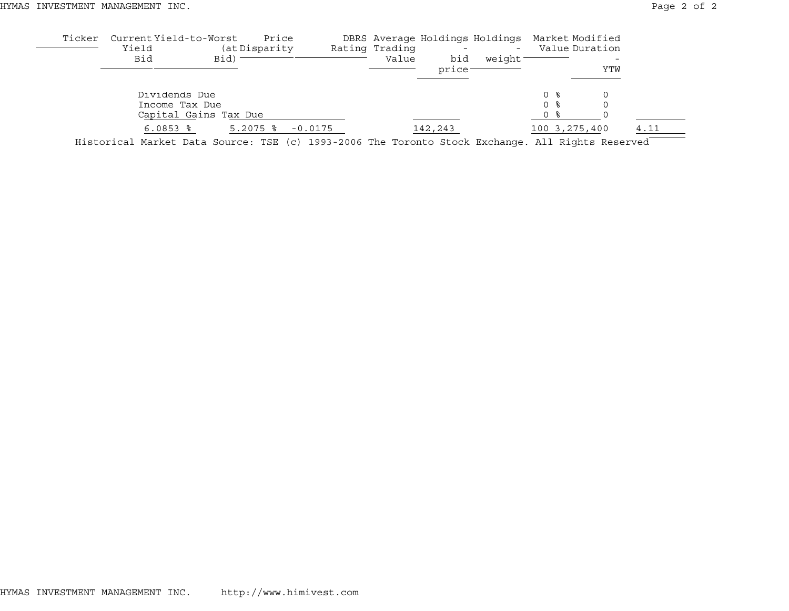| Ticker  | Current Yield-to-Worst<br>Yield                                                                    |                       | Price<br>(at Disparity)           |           | Rating Trading |                                                      | DBRS Average Holdings Holdings Market Modified<br>$\overline{\phantom{a}}$ |               | Value Duration |      |
|---------|----------------------------------------------------------------------------------------------------|-----------------------|-----------------------------------|-----------|----------------|------------------------------------------------------|----------------------------------------------------------------------------|---------------|----------------|------|
|         | Bid                                                                                                | Bid)                  |                                   |           | Value          | bid<br>price:                                        | weight <sup>-</sup>                                                        |               | YTW            |      |
|         | Dividends Due                                                                                      |                       |                                   |           |                |                                                      |                                                                            | () そ          |                |      |
|         | Income Tax Due                                                                                     | Capital Gains Tax Due |                                   |           |                |                                                      |                                                                            | 0 ፦<br>0 %    |                |      |
| $- - -$ | $6.0853$ $\frac{6}{3}$<br>$\mathbf{r}$ , $\mathbf{r}$ , $\mathbf{r}$ , $\mathbf{r}$ , $\mathbf{r}$ | $\sim$                | $5.2075$ $\frac{6}{5}$<br>$- - -$ | $-0.0175$ |                | 142,243<br>$\sim$ $\sim$ $\sim$ $\sim$ $\sim$ $\sim$ | $\overline{\phantom{0}}$                                                   | 100 3,275,400 |                | 4.11 |